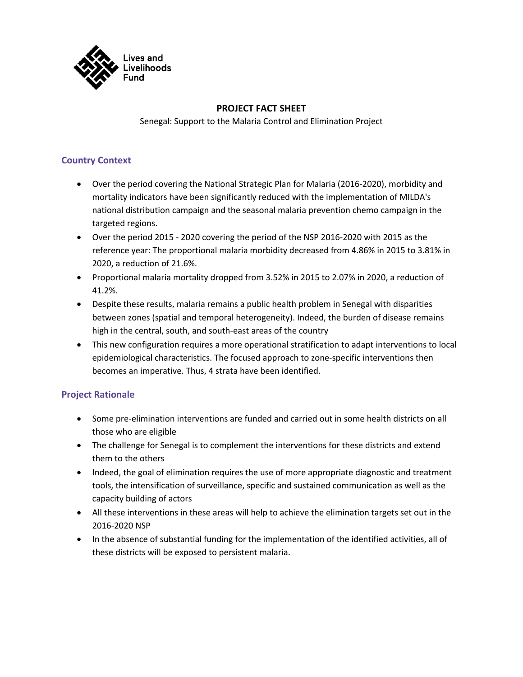

# **PROJECT FACT SHEET**

Senegal: Support to the Malaria Control and Elimination Project

# **Country Context**

- Over the period covering the National Strategic Plan for Malaria (2016-2020), morbidity and mortality indicators have been significantly reduced with the implementation of MILDA's national distribution campaign and the seasonal malaria prevention chemo campaign in the targeted regions.
- Over the period 2015 2020 covering the period of the NSP 2016-2020 with 2015 as the reference year: The proportional malaria morbidity decreased from 4.86% in 2015 to 3.81% in 2020, a reduction of 21.6%.
- Proportional malaria mortality dropped from 3.52% in 2015 to 2.07% in 2020, a reduction of 41.2%.
- Despite these results, malaria remains a public health problem in Senegal with disparities between zones (spatial and temporal heterogeneity). Indeed, the burden of disease remains high in the central, south, and south-east areas of the country
- This new configuration requires a more operational stratification to adapt interventions to local epidemiological characteristics. The focused approach to zone-specific interventions then becomes an imperative. Thus, 4 strata have been identified.

### **Project Rationale**

- Some pre-elimination interventions are funded and carried out in some health districts on all those who are eligible
- The challenge for Senegal is to complement the interventions for these districts and extend them to the others
- Indeed, the goal of elimination requires the use of more appropriate diagnostic and treatment tools, the intensification of surveillance, specific and sustained communication as well as the capacity building of actors
- All these interventions in these areas will help to achieve the elimination targets set out in the 2016-2020 NSP
- In the absence of substantial funding for the implementation of the identified activities, all of these districts will be exposed to persistent malaria.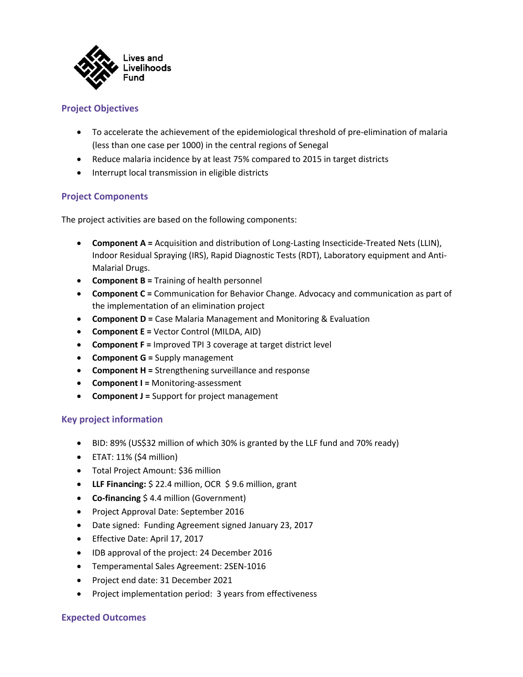

# **Project Objectives**

- To accelerate the achievement of the epidemiological threshold of pre-elimination of malaria (less than one case per 1000) in the central regions of Senegal
- Reduce malaria incidence by at least 75% compared to 2015 in target districts
- Interrupt local transmission in eligible districts

# **Project Components**

The project activities are based on the following components:

- **Component A =** Acquisition and distribution of Long-Lasting Insecticide-Treated Nets (LLIN), Indoor Residual Spraying (IRS), Rapid Diagnostic Tests (RDT), Laboratory equipment and Anti-Malarial Drugs.
- **Component B =** Training of health personnel
- **Component C =** Communication for Behavior Change. Advocacy and communication as part of the implementation of an elimination project
- **Component D =** Case Malaria Management and Monitoring & Evaluation
- **Component E =** Vector Control (MILDA, AID)
- **Component F =** Improved TPI 3 coverage at target district level
- **Component G =** Supply management
- **Component H =** Strengthening surveillance and response
- **Component I =** Monitoring-assessment
- **Component J =** Support for project management

### **Key project information**

- BID: 89% (US\$32 million of which 30% is granted by the LLF fund and 70% ready)
- ETAT: 11% (\$4 million)
- Total Project Amount: \$36 million
- **LLF Financing:** \$ 22.4 million, OCR \$ 9.6 million, grant
- **Co-financing** \$ 4.4 million (Government)
- Project Approval Date: September 2016
- Date signed: Funding Agreement signed January 23, 2017
- Effective Date: April 17, 2017
- IDB approval of the project: 24 December 2016
- Temperamental Sales Agreement: 2SEN-1016
- Project end date: 31 December 2021
- Project implementation period: 3 years from effectiveness

### **Expected Outcomes**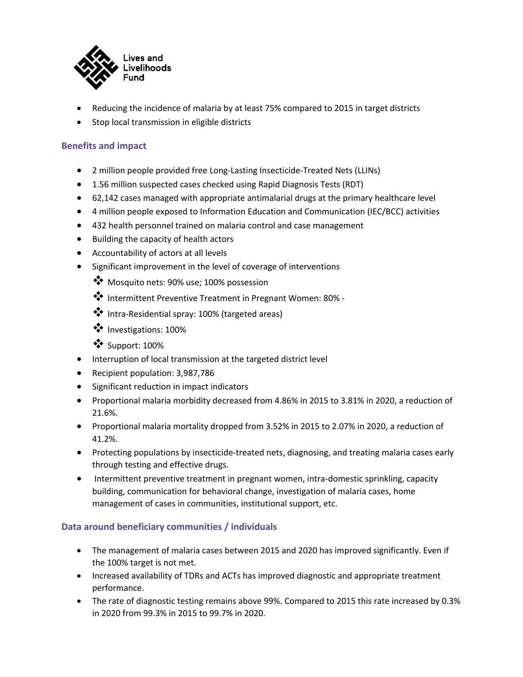

- Reducing the incidence of malaria by at least 75% compared to 2015 in target districts
- Stop local transmission in eligible districts

# **Benefits and impact**

- 2 million people provided free Long-Lasting Insecticide-Treated Nets (LLINs)
- 1.56 million suspected cases checked using Rapid Diagnosis Tests (RDT)
- 62,142 cases managed with appropriate antimalarial drugs at the primary healthcare level
- 4 million people exposed to Information Education and Communication (IEC/BCC) activities
- 432 health personnel trained on malaria control and case management
- Building the capacity of health actors
- Accountability of actors at all levels
- Significant improvement in the level of coverage of interventions
	- **\*** Mosquito nets: 90% use; 100% possession
	- v Intermittent Preventive Treatment in Pregnant Women: 80% -
	- v Intra-Residential spray: 100% (targeted areas)
	- v Investigations: 100%
	- $\ddot{\bullet}$  Support: 100%
- Interruption of local transmission at the targeted district level
- Recipient population: 3,987,786
- Significant reduction in impact indicators
- Proportional malaria morbidity decreased from 4.86% in 2015 to 3.81% in 2020, a reduction of 21.6%.
- Proportional malaria mortality dropped from 3.52% in 2015 to 2.07% in 2020, a reduction of 41.2%.
- Protecting populations by insecticide-treated nets, diagnosing, and treating malaria cases early through testing and effective drugs.
- Intermittent preventive treatment in pregnant women, intra-domestic sprinkling, capacity building, communication for behavioral change, investigation of malaria cases, home management of cases in communities, institutional support, etc.

### **Data around beneficiary communities / individuals**

- The management of malaria cases between 2015 and 2020 has improved significantly. Even if the 100% target is not met.
- Increased availability of TDRs and ACTs has improved diagnostic and appropriate treatment performance.
- The rate of diagnostic testing remains above 99%. Compared to 2015 this rate increased by 0.3% in 2020 from 99.3% in 2015 to 99.7% in 2020.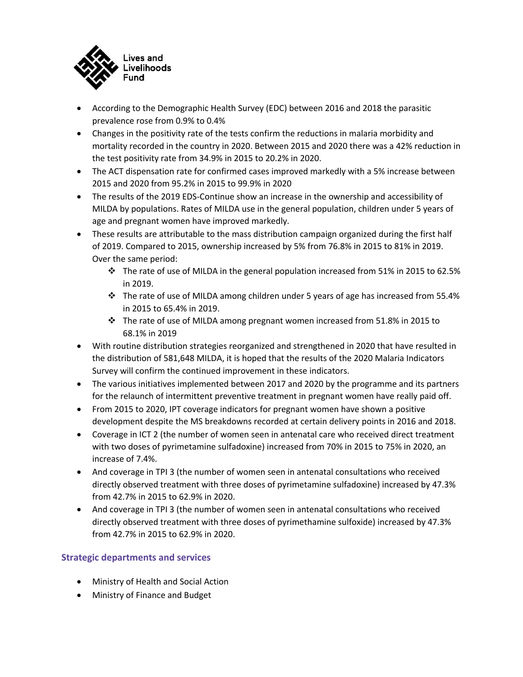

- According to the Demographic Health Survey (EDC) between 2016 and 2018 the parasitic prevalence rose from 0.9% to 0.4%
- Changes in the positivity rate of the tests confirm the reductions in malaria morbidity and mortality recorded in the country in 2020. Between 2015 and 2020 there was a 42% reduction in the test positivity rate from 34.9% in 2015 to 20.2% in 2020.
- The ACT dispensation rate for confirmed cases improved markedly with a 5% increase between 2015 and 2020 from 95.2% in 2015 to 99.9% in 2020
- The results of the 2019 EDS-Continue show an increase in the ownership and accessibility of MILDA by populations. Rates of MILDA use in the general population, children under 5 years of age and pregnant women have improved markedly.
- These results are attributable to the mass distribution campaign organized during the first half of 2019. Compared to 2015, ownership increased by 5% from 76.8% in 2015 to 81% in 2019. Over the same period:
	- $\div$  The rate of use of MILDA in the general population increased from 51% in 2015 to 62.5% in 2019.
	- $\cdot \cdot$  The rate of use of MILDA among children under 5 years of age has increased from 55.4% in 2015 to 65.4% in 2019.
	- $\cdot \cdot$  The rate of use of MILDA among pregnant women increased from 51.8% in 2015 to 68.1% in 2019
- With routine distribution strategies reorganized and strengthened in 2020 that have resulted in the distribution of 581,648 MILDA, it is hoped that the results of the 2020 Malaria Indicators Survey will confirm the continued improvement in these indicators.
- The various initiatives implemented between 2017 and 2020 by the programme and its partners for the relaunch of intermittent preventive treatment in pregnant women have really paid off.
- From 2015 to 2020, IPT coverage indicators for pregnant women have shown a positive development despite the MS breakdowns recorded at certain delivery points in 2016 and 2018.
- Coverage in ICT 2 (the number of women seen in antenatal care who received direct treatment with two doses of pyrimetamine sulfadoxine) increased from 70% in 2015 to 75% in 2020, an increase of 7.4%.
- And coverage in TPI 3 (the number of women seen in antenatal consultations who received directly observed treatment with three doses of pyrimetamine sulfadoxine) increased by 47.3% from 42.7% in 2015 to 62.9% in 2020.
- And coverage in TPI 3 (the number of women seen in antenatal consultations who received directly observed treatment with three doses of pyrimethamine sulfoxide) increased by 47.3% from 42.7% in 2015 to 62.9% in 2020.

# **Strategic departments and services**

- Ministry of Health and Social Action
- Ministry of Finance and Budget